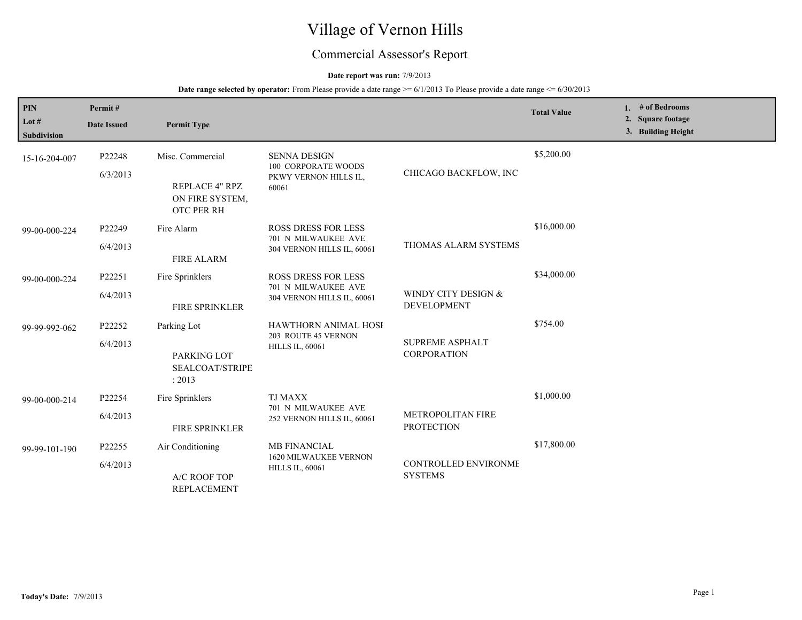# Village of Vernon Hills

## Commercial Assessor's Report

#### **Date report was run:** 7/9/2013

| <b>PIN</b>                    | Permit#            |                                                 |                                                                                     |                                               | <b>Total Value</b> | 1. # of Bedrooms                        |
|-------------------------------|--------------------|-------------------------------------------------|-------------------------------------------------------------------------------------|-----------------------------------------------|--------------------|-----------------------------------------|
| Lot $#$<br><b>Subdivision</b> | <b>Date Issued</b> | <b>Permit Type</b>                              |                                                                                     |                                               |                    | 2. Square footage<br>3. Building Height |
| 15-16-204-007                 | P22248             | Misc. Commercial                                | <b>SENNA DESIGN</b><br><b>100 CORPORATE WOODS</b><br>PKWY VERNON HILLS IL,<br>60061 |                                               | \$5,200.00         |                                         |
|                               | 6/3/2013           | REPLACE 4" RPZ<br>ON FIRE SYSTEM,<br>OTC PER RH |                                                                                     | CHICAGO BACKFLOW, INC                         |                    |                                         |
| 99-00-000-224                 | P22249             | Fire Alarm                                      | <b>ROSS DRESS FOR LESS</b>                                                          |                                               | \$16,000.00        |                                         |
|                               | 6/4/2013           | <b>FIRE ALARM</b>                               | 701 N MILWAUKEE AVE<br>304 VERNON HILLS IL, 60061                                   | THOMAS ALARM SYSTEMS                          |                    |                                         |
| 99-00-000-224                 | P22251             | Fire Sprinklers                                 | ROSS DRESS FOR LESS<br>701 N MILWAUKEE AVE<br>304 VERNON HILLS IL, 60061            |                                               | \$34,000.00        |                                         |
|                               | 6/4/2013           | <b>FIRE SPRINKLER</b>                           |                                                                                     | WINDY CITY DESIGN &<br><b>DEVELOPMENT</b>     |                    |                                         |
| 99-99-992-062                 | P22252             | Parking Lot                                     | HAWTHORN ANIMAL HOSI                                                                |                                               | \$754.00           |                                         |
|                               | 6/4/2013           | PARKING LOT<br>SEALCOAT/STRIPE<br>: 2013        | 203 ROUTE 45 VERNON<br><b>HILLS IL, 60061</b>                                       | <b>SUPREME ASPHALT</b><br><b>CORPORATION</b>  |                    |                                         |
| 99-00-000-214                 | P22254             | Fire Sprinklers                                 | <b>TJ MAXX</b>                                                                      |                                               | \$1,000.00         |                                         |
|                               | 6/4/2013           | <b>FIRE SPRINKLER</b>                           | 701 N MILWAUKEE AVE<br>252 VERNON HILLS IL, 60061                                   | <b>METROPOLITAN FIRE</b><br><b>PROTECTION</b> |                    |                                         |
| 99-99-101-190                 | P22255             | Air Conditioning                                | <b>MB FINANCIAL</b>                                                                 |                                               | \$17,800.00        |                                         |
|                               | 6/4/2013           | A/C ROOF TOP<br><b>REPLACEMENT</b>              | <b>1620 MILWAUKEE VERNON</b><br><b>HILLS IL, 60061</b>                              | <b>CONTROLLED ENVIRONME</b><br><b>SYSTEMS</b> |                    |                                         |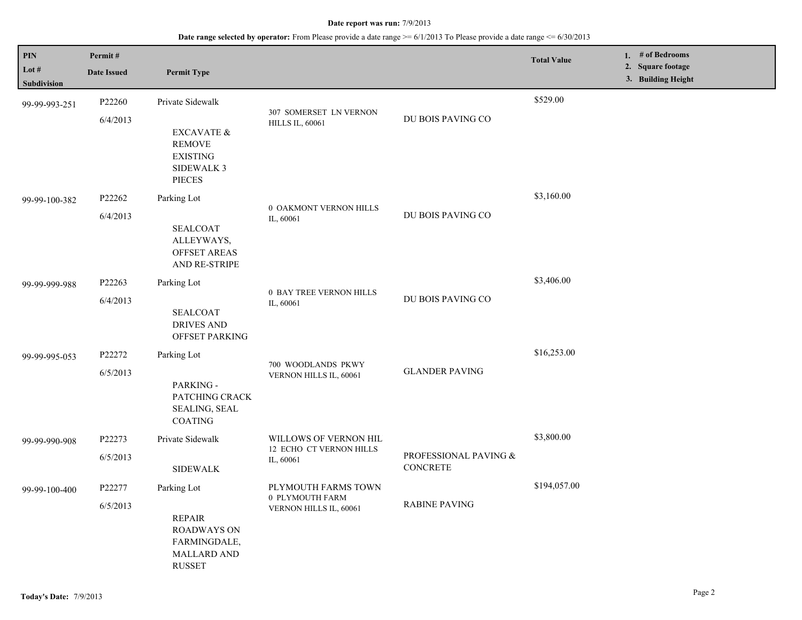| PIN                           | Permit#                                                                          |                                                                                            |                                                  |                                          | <b>Total Value</b> | 1. $#$ of Bedrooms                      |  |
|-------------------------------|----------------------------------------------------------------------------------|--------------------------------------------------------------------------------------------|--------------------------------------------------|------------------------------------------|--------------------|-----------------------------------------|--|
| Lot $#$<br><b>Subdivision</b> | <b>Date Issued</b>                                                               | <b>Permit Type</b>                                                                         |                                                  |                                          |                    | 2. Square footage<br>3. Building Height |  |
| 99-99-993-251                 | P22260<br>6/4/2013                                                               | Private Sidewalk                                                                           | 307 SOMERSET LN VERNON<br><b>HILLS IL, 60061</b> | DU BOIS PAVING CO                        | \$529.00           |                                         |  |
|                               | EXCAVATE $\&$<br><b>REMOVE</b><br><b>EXISTING</b><br><b>SIDEWALK 3</b><br>PIECES |                                                                                            |                                                  |                                          |                    |                                         |  |
| 99-99-100-382                 | P22262                                                                           | Parking Lot                                                                                | 0 OAKMONT VERNON HILLS                           |                                          | \$3,160.00         |                                         |  |
|                               | 6/4/2013                                                                         | <b>SEALCOAT</b><br>ALLEYWAYS,<br><b>OFFSET AREAS</b><br>AND RE-STRIPE                      | IL, 60061                                        | DU BOIS PAVING CO                        |                    |                                         |  |
| 99-99-999-988                 | P22263                                                                           | Parking Lot                                                                                | 0 BAY TREE VERNON HILLS                          |                                          | \$3,406.00         |                                         |  |
|                               | 6/4/2013                                                                         | <b>SEALCOAT</b><br><b>DRIVES AND</b><br>OFFSET PARKING                                     | IL, 60061                                        | DU BOIS PAVING CO                        |                    |                                         |  |
| 99-99-995-053                 | P22272                                                                           | Parking Lot                                                                                | 700 WOODLANDS PKWY                               | <b>GLANDER PAVING</b>                    | \$16,253.00        |                                         |  |
|                               | 6/5/2013                                                                         | PARKING -<br>PATCHING CRACK<br>SEALING, SEAL<br><b>COATING</b>                             | VERNON HILLS IL, 60061                           |                                          |                    |                                         |  |
| 99-99-990-908                 | P22273                                                                           | Private Sidewalk                                                                           | WILLOWS OF VERNON HIL<br>12 ECHO CT VERNON HILLS |                                          | \$3,800.00         |                                         |  |
|                               | 6/5/2013                                                                         | <b>SIDEWALK</b>                                                                            | IL, 60061                                        | PROFESSIONAL PAVING &<br><b>CONCRETE</b> |                    |                                         |  |
| 99-99-100-400                 | P22277                                                                           | Parking Lot                                                                                | PLYMOUTH FARMS TOWN                              |                                          | \$194,057.00       |                                         |  |
|                               | 6/5/2013                                                                         | <b>REPAIR</b><br><b>ROADWAYS ON</b><br>FARMINGDALE,<br><b>MALLARD AND</b><br><b>RUSSET</b> | 0 PLYMOUTH FARM<br>VERNON HILLS IL, 60061        | <b>RABINE PAVING</b>                     |                    |                                         |  |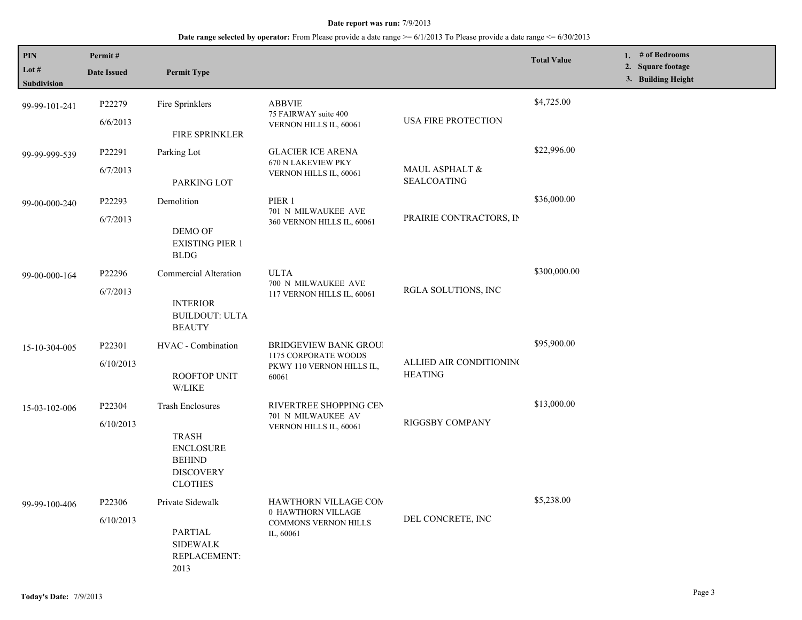| PIN                    | Permit#            |                                                                                         |                                                                                            |                                           | <b>Total Value</b> | 1. $#$ of Bedrooms<br>2. Square footage |
|------------------------|--------------------|-----------------------------------------------------------------------------------------|--------------------------------------------------------------------------------------------|-------------------------------------------|--------------------|-----------------------------------------|
| Lot $#$<br>Subdivision | <b>Date Issued</b> | <b>Permit Type</b>                                                                      |                                                                                            |                                           |                    | 3. Building Height                      |
| 99-99-101-241          | P22279             | Fire Sprinklers                                                                         | <b>ABBVIE</b>                                                                              |                                           | \$4,725.00         |                                         |
|                        | 6/6/2013           | FIRE SPRINKLER                                                                          | 75 FAIRWAY suite 400<br>VERNON HILLS IL, 60061                                             | USA FIRE PROTECTION                       |                    |                                         |
| 99-99-999-539          | P22291             | Parking Lot                                                                             | <b>GLACIER ICE ARENA</b><br>670 N LAKEVIEW PKY                                             |                                           | \$22,996.00        |                                         |
|                        | 6/7/2013           | PARKING LOT                                                                             | VERNON HILLS IL, 60061                                                                     | MAUL ASPHALT $\&$<br><b>SEALCOATING</b>   |                    |                                         |
| 99-00-000-240          | P22293             | Demolition                                                                              | PIER 1<br>701 N MILWAUKEE AVE                                                              |                                           | \$36,000.00        |                                         |
|                        | 6/7/2013           | DEMO OF<br><b>EXISTING PIER 1</b><br><b>BLDG</b>                                        | 360 VERNON HILLS IL, 60061                                                                 | PRAIRIE CONTRACTORS, IN                   |                    |                                         |
| 99-00-000-164          | P22296             | Commercial Alteration                                                                   | <b>ULTA</b><br>700 N MILWAUKEE AVE<br>117 VERNON HILLS IL, 60061                           | RGLA SOLUTIONS, INC                       | \$300,000.00       |                                         |
|                        | 6/7/2013           | <b>INTERIOR</b><br><b>BUILDOUT: ULTA</b><br><b>BEAUTY</b>                               |                                                                                            |                                           |                    |                                         |
| 15-10-304-005          | P22301             | HVAC - Combination                                                                      | <b>BRIDGEVIEW BANK GROU!</b><br>1175 CORPORATE WOODS<br>PKWY 110 VERNON HILLS IL,<br>60061 | ALLIED AIR CONDITIONING<br><b>HEATING</b> | \$95,900.00        |                                         |
|                        | 6/10/2013          | <b>ROOFTOP UNIT</b><br>W/LIKE                                                           |                                                                                            |                                           |                    |                                         |
| 15-03-102-006          | P22304             | <b>Trash Enclosures</b>                                                                 | RIVERTREE SHOPPING CEN<br>701 N MILWAUKEE AV                                               |                                           | \$13,000.00        |                                         |
|                        | 6/10/2013          | <b>TRASH</b><br><b>ENCLOSURE</b><br><b>BEHIND</b><br><b>DISCOVERY</b><br><b>CLOTHES</b> | VERNON HILLS IL, 60061                                                                     | RIGGSBY COMPANY                           |                    |                                         |
| 99-99-100-406          | P22306             | Private Sidewalk                                                                        | HAWTHORN VILLAGE COM<br>0 HAWTHORN VILLAGE                                                 |                                           | \$5,238.00         |                                         |
|                        | 6/10/2013          | <b>PARTIAL</b><br><b>SIDEWALK</b><br>REPLACEMENT:<br>2013                               | <b>COMMONS VERNON HILLS</b><br>IL, 60061                                                   | DEL CONCRETE, INC                         |                    |                                         |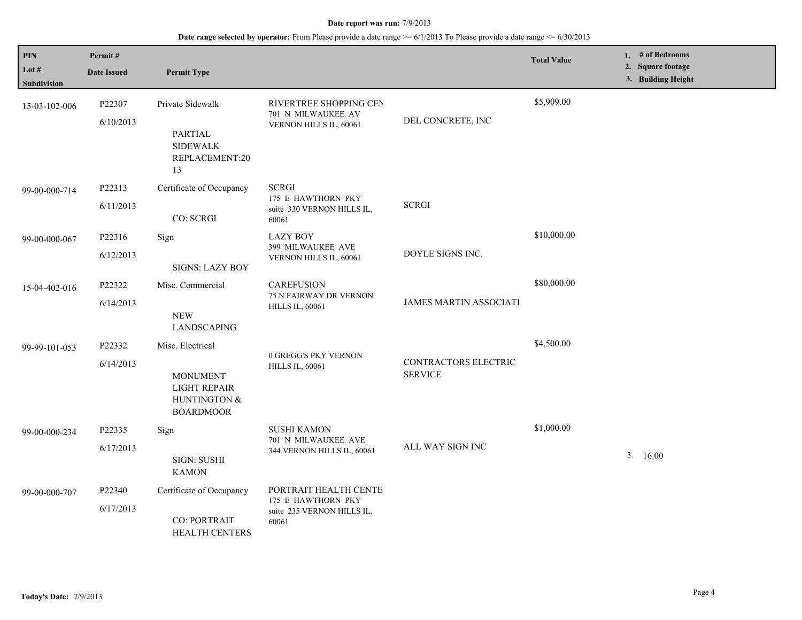| PIN<br>Lot $#$<br><b>Subdivision</b> | Permit#<br><b>Date Issued</b> | <b>Permit Type</b>                                                                      |                                                                                    |                                        | <b>Total Value</b> | 1. # of Bedrooms<br>2. Square footage<br>3. Building Height |
|--------------------------------------|-------------------------------|-----------------------------------------------------------------------------------------|------------------------------------------------------------------------------------|----------------------------------------|--------------------|-------------------------------------------------------------|
| 15-03-102-006                        | P22307<br>6/10/2013           | Private Sidewalk<br>PARTIAL<br><b>SIDEWALK</b><br>REPLACEMENT:20<br>13                  | RIVERTREE SHOPPING CEN<br>701 N MILWAUKEE AV<br>VERNON HILLS IL, 60061             | DEL CONCRETE, INC                      | \$5,909.00         |                                                             |
| 99-00-000-714                        | P22313<br>6/11/2013           | Certificate of Occupancy<br>CO: SCRGI                                                   | <b>SCRGI</b><br>175 E HAWTHORN PKY<br>suite 330 VERNON HILLS IL,<br>60061          | <b>SCRGI</b>                           |                    |                                                             |
| 99-00-000-067                        | P22316<br>6/12/2013           | Sign<br><b>SIGNS: LAZY BOY</b>                                                          | <b>LAZY BOY</b><br>399 MILWAUKEE AVE<br>VERNON HILLS IL, 60061                     | DOYLE SIGNS INC.                       | \$10,000.00        |                                                             |
| 15-04-402-016                        | P22322<br>6/14/2013           | Misc. Commercial<br><b>NEW</b><br><b>LANDSCAPING</b>                                    | <b>CAREFUSION</b><br><b>75 N FAIRWAY DR VERNON</b><br><b>HILLS IL, 60061</b>       | <b>JAMES MARTIN ASSOCIATI</b>          | \$80,000.00        |                                                             |
| 99-99-101-053                        | P22332<br>6/14/2013           | Misc. Electrical<br><b>MONUMENT</b><br>LIGHT REPAIR<br>HUNTINGTON &<br><b>BOARDMOOR</b> | 0 GREGG'S PKY VERNON<br><b>HILLS IL, 60061</b>                                     | CONTRACTORS ELECTRIC<br><b>SERVICE</b> | \$4,500.00         |                                                             |
| 99-00-000-234                        | P22335<br>6/17/2013           | Sign<br>SIGN: SUSHI<br><b>KAMON</b>                                                     | <b>SUSHI KAMON</b><br>701 N MILWAUKEE AVE<br>344 VERNON HILLS IL, 60061            | ALL WAY SIGN INC                       | \$1,000.00         | 3.16.00                                                     |
| 99-00-000-707                        | P22340<br>6/17/2013           | Certificate of Occupancy<br><b>CO: PORTRAIT</b><br>HEALTH CENTERS                       | PORTRAIT HEALTH CENTE<br>175 E HAWTHORN PKY<br>suite 235 VERNON HILLS IL,<br>60061 |                                        |                    |                                                             |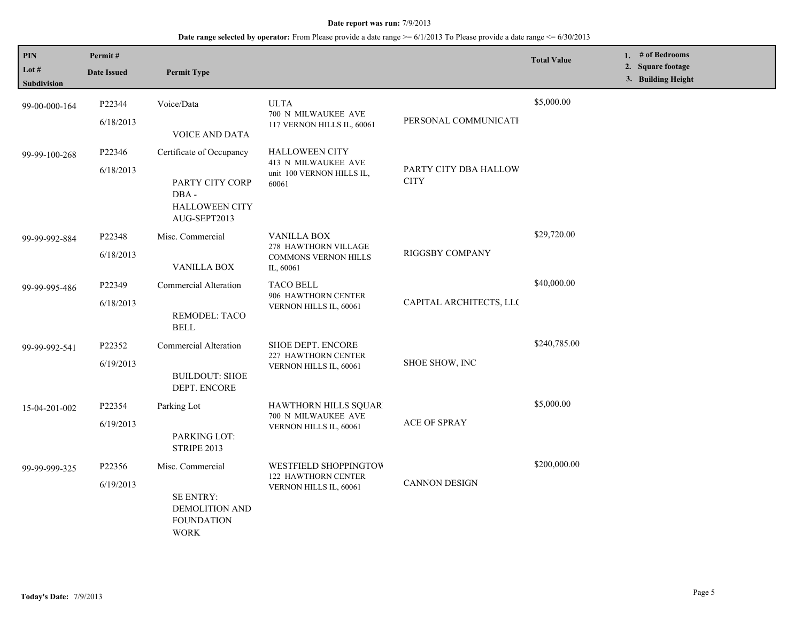| PIN<br>Lot $#$ | Permit#<br><b>Date Issued</b>                                                       | <b>Permit Type</b>                                                           |                                                                                        |                                      | <b>Total Value</b> | 1. # of Bedrooms<br>2. Square footage |
|----------------|-------------------------------------------------------------------------------------|------------------------------------------------------------------------------|----------------------------------------------------------------------------------------|--------------------------------------|--------------------|---------------------------------------|
| Subdivision    |                                                                                     |                                                                              |                                                                                        |                                      |                    | 3. Building Height                    |
| 99-00-000-164  | P22344                                                                              | Voice/Data                                                                   | <b>ULTA</b><br>700 N MILWAUKEE AVE                                                     |                                      | \$5,000.00         |                                       |
|                | 6/18/2013                                                                           | <b>VOICE AND DATA</b>                                                        | 117 VERNON HILLS IL, 60061                                                             | PERSONAL COMMUNICATI                 |                    |                                       |
| 99-99-100-268  | P22346                                                                              | Certificate of Occupancy                                                     | <b>HALLOWEEN CITY</b><br>413 N MILWAUKEE AVE                                           |                                      |                    |                                       |
|                | 6/18/2013                                                                           | PARTY CITY CORP<br>DBA-<br><b>HALLOWEEN CITY</b><br>AUG-SEPT2013             | unit 100 VERNON HILLS IL,<br>60061                                                     | PARTY CITY DBA HALLOW<br><b>CITY</b> |                    |                                       |
| 99-99-992-884  | P22348                                                                              | Misc. Commercial                                                             | <b>VANILLA BOX</b><br>278 HAWTHORN VILLAGE<br><b>COMMONS VERNON HILLS</b><br>IL, 60061 |                                      | \$29,720.00        |                                       |
|                | 6/18/2013                                                                           | VANILLA BOX                                                                  |                                                                                        | RIGGSBY COMPANY                      |                    |                                       |
| 99-99-995-486  | P22349                                                                              | Commercial Alteration                                                        | <b>TACO BELL</b><br>906 HAWTHORN CENTER<br>VERNON HILLS IL, 60061                      | CAPITAL ARCHITECTS, LLC              | \$40,000.00        |                                       |
|                | 6/18/2013                                                                           | REMODEL: TACO<br><b>BELL</b>                                                 |                                                                                        |                                      |                    |                                       |
| 99-99-992-541  | P22352                                                                              | Commercial Alteration                                                        | SHOE DEPT. ENCORE<br>227 HAWTHORN CENTER                                               | SHOE SHOW, INC                       | \$240,785.00       |                                       |
|                | 6/19/2013                                                                           | <b>BUILDOUT: SHOE</b><br>DEPT. ENCORE                                        | VERNON HILLS IL, 60061                                                                 |                                      |                    |                                       |
| 15-04-201-002  | P22354                                                                              | Parking Lot                                                                  | HAWTHORN HILLS SQUAR<br>700 N MILWAUKEE AVE                                            |                                      | \$5,000.00         |                                       |
|                | 6/19/2013<br>PARKING LOT:<br><b>STRIPE 2013</b>                                     | VERNON HILLS IL, 60061                                                       | ACE OF SPRAY                                                                           |                                      |                    |                                       |
| 99-99-999-325  | P22356                                                                              | Misc. Commercial                                                             | WESTFIELD SHOPPINGTOW                                                                  |                                      | \$200,000.00       |                                       |
|                | 6/19/2013<br>SE ENTRY:<br><b>DEMOLITION AND</b><br><b>FOUNDATION</b><br><b>WORK</b> | <b>122 HAWTHORN CENTER</b><br><b>CANNON DESIGN</b><br>VERNON HILLS IL, 60061 |                                                                                        |                                      |                    |                                       |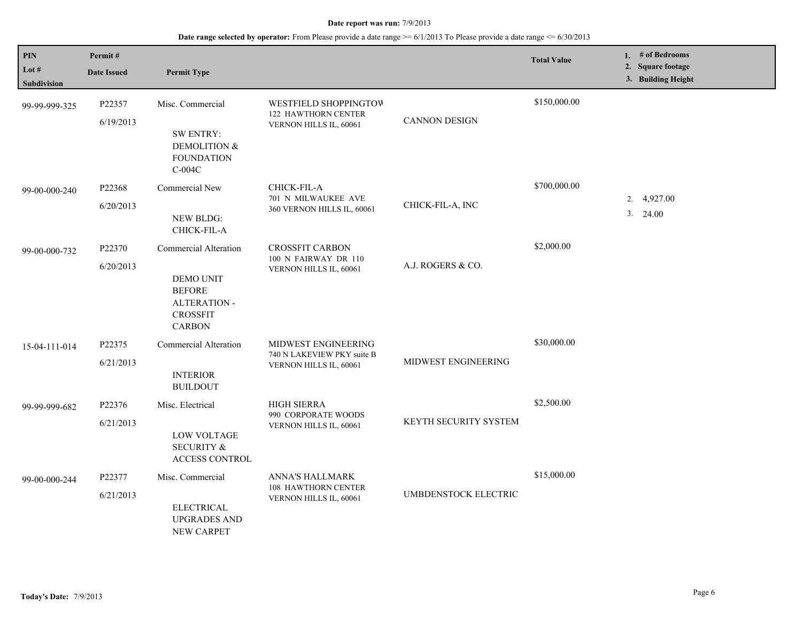| PIN<br>Lot #<br><b>Subdivision</b> | Permit#<br><b>Date Issued</b> | <b>Permit Type</b>                                                                                             |                                                                               |                              | <b>Total Value</b> | 1. # of Bedrooms<br>2. Square footage<br>3. Building Height |
|------------------------------------|-------------------------------|----------------------------------------------------------------------------------------------------------------|-------------------------------------------------------------------------------|------------------------------|--------------------|-------------------------------------------------------------|
| 99-99-999-325                      | P22357<br>6/19/2013           | Misc. Commercial<br><b>SW ENTRY:</b><br><b>DEMOLITION &amp;</b><br><b>FOUNDATION</b><br>$C-004C$               | <b>WESTFIELD SHOPPINGTOW</b><br>122 HAWTHORN CENTER<br>VERNON HILLS IL, 60061 | <b>CANNON DESIGN</b>         | \$150,000.00       |                                                             |
| 99-00-000-240                      | P22368<br>6/20/2013           | Commercial New<br><b>NEW BLDG:</b><br>CHICK-FIL-A                                                              | CHICK-FIL-A<br>701 N MILWAUKEE AVE<br>360 VERNON HILLS IL, 60061              | CHICK-FIL-A, INC             | \$700,000.00       | 2. 4,927.00<br>3. 24.00                                     |
| 99-00-000-732                      | P22370<br>6/20/2013           | Commercial Alteration<br>DEMO UNIT<br><b>BEFORE</b><br><b>ALTERATION -</b><br><b>CROSSFIT</b><br><b>CARBON</b> | <b>CROSSFIT CARBON</b><br>100 N FAIRWAY DR 110<br>VERNON HILLS IL, 60061      | A.J. ROGERS & CO.            | \$2,000.00         |                                                             |
| 15-04-111-014                      | P22375<br>6/21/2013           | <b>Commercial Alteration</b><br><b>INTERIOR</b><br><b>BUILDOUT</b>                                             | MIDWEST ENGINEERING<br>740 N LAKEVIEW PKY suite B<br>VERNON HILLS IL, 60061   | MIDWEST ENGINEERING          | \$30,000.00        |                                                             |
| 99-99-999-682                      | P22376<br>6/21/2013           | Misc. Electrical<br>LOW VOLTAGE<br><b>SECURITY &amp;</b><br><b>ACCESS CONTROL</b>                              | HIGH SIERRA<br>990 CORPORATE WOODS<br>VERNON HILLS IL, 60061                  | <b>KEYTH SECURITY SYSTEM</b> | \$2,500.00         |                                                             |
| 99-00-000-244                      | P22377<br>6/21/2013           | Misc. Commercial<br><b>ELECTRICAL</b><br><b>UPGRADES AND</b><br><b>NEW CARPET</b>                              | ANNA'S HALLMARK<br>108 HAWTHORN CENTER<br>VERNON HILLS IL, 60061              | UMBDENSTOCK ELECTRIC         | \$15,000.00        |                                                             |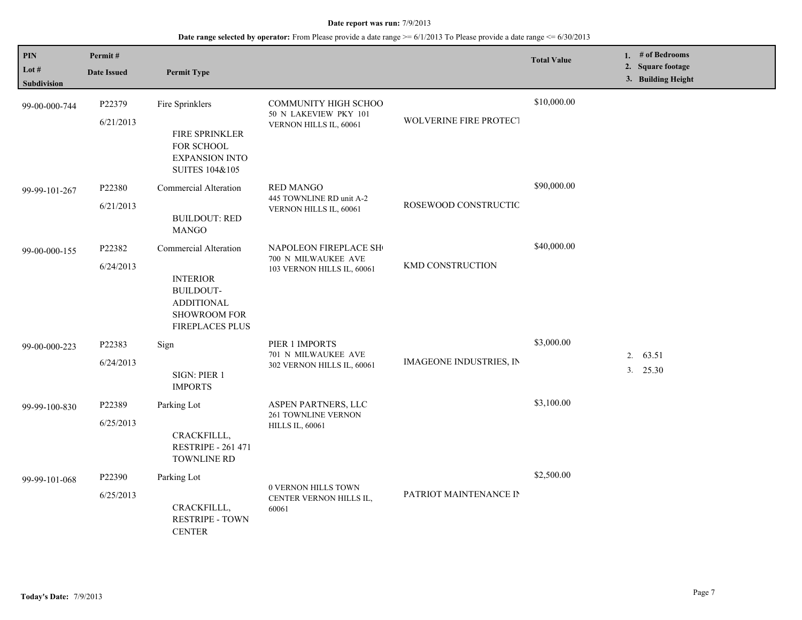| $\mathbf{PIN}$<br>Lot $#$<br><b>Subdivision</b> | Permit#<br><b>Date Issued</b> | <b>Permit Type</b>                                                                                            |                                                                                |                                | <b>Total Value</b> | 1. $#$ of Bedrooms<br>2. Square footage<br>3. Building Height |
|-------------------------------------------------|-------------------------------|---------------------------------------------------------------------------------------------------------------|--------------------------------------------------------------------------------|--------------------------------|--------------------|---------------------------------------------------------------|
| 99-00-000-744                                   | P22379<br>6/21/2013           | Fire Sprinklers<br>FIRE SPRINKLER<br>FOR SCHOOL<br><b>EXPANSION INTO</b><br>SUITES 104&105                    | <b>COMMUNITY HIGH SCHOO</b><br>50 N LAKEVIEW PKY 101<br>VERNON HILLS IL, 60061 | <b>WOLVERINE FIRE PROTECT</b>  | \$10,000.00        |                                                               |
| 99-99-101-267                                   | P22380<br>6/21/2013           | Commercial Alteration<br><b>BUILDOUT: RED</b><br><b>MANGO</b>                                                 | <b>RED MANGO</b><br>445 TOWNLINE RD unit A-2<br>VERNON HILLS IL, 60061         | ROSEWOOD CONSTRUCTIC           | \$90,000.00        |                                                               |
| 99-00-000-155                                   | P22382<br>6/24/2013           | Commercial Alteration<br><b>INTERIOR</b><br>BUILDOUT-<br><b>ADDITIONAL</b><br>SHOWROOM FOR<br>FIREPLACES PLUS | NAPOLEON FIREPLACE SH<br>700 N MILWAUKEE AVE<br>103 VERNON HILLS IL, 60061     | KMD CONSTRUCTION               | \$40,000.00        |                                                               |
| 99-00-000-223                                   | P22383<br>6/24/2013           | Sign<br>SIGN: PIER 1<br><b>IMPORTS</b>                                                                        | PIER 1 IMPORTS<br>701 N MILWAUKEE AVE<br>302 VERNON HILLS IL, 60061            | <b>IMAGEONE INDUSTRIES, IN</b> | \$3,000.00         | 63.51<br>2.<br>3.<br>25.30                                    |
| 99-99-100-830                                   | P22389<br>6/25/2013           | Parking Lot<br>CRACKFILLL,<br><b>RESTRIPE - 261 471</b><br><b>TOWNLINE RD</b>                                 | ASPEN PARTNERS, LLC<br><b>261 TOWNLINE VERNON</b><br><b>HILLS IL, 60061</b>    |                                | \$3,100.00         |                                                               |
| 99-99-101-068                                   | P22390<br>6/25/2013           | Parking Lot<br>CRACKFILLL,<br><b>RESTRIPE - TOWN</b><br><b>CENTER</b>                                         | 0 VERNON HILLS TOWN<br>CENTER VERNON HILLS IL,<br>60061                        | PATRIOT MAINTENANCE IN         | \$2,500.00         |                                                               |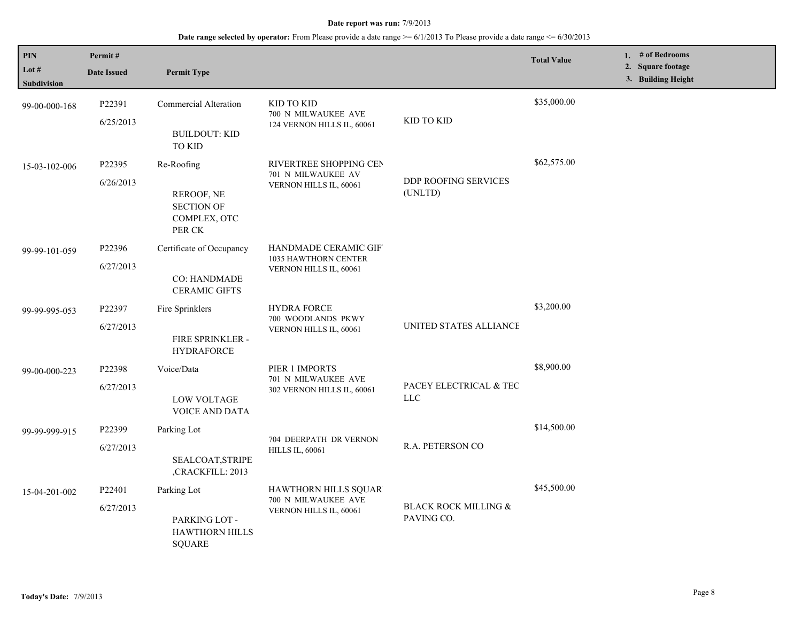| PIN<br>Lot $#$<br><b>Subdivision</b> | Permit#<br><b>Date Issued</b>   | <b>Permit Type</b>                                                      |                                                                        |                                      | <b>Total Value</b> | 1. # of Bedrooms<br>2. Square footage<br>3. Building Height |
|--------------------------------------|---------------------------------|-------------------------------------------------------------------------|------------------------------------------------------------------------|--------------------------------------|--------------------|-------------------------------------------------------------|
| 99-00-000-168                        | P22391<br>6/25/2013             | <b>Commercial Alteration</b><br><b>BUILDOUT: KID</b><br><b>TO KID</b>   | KID TO KID<br>700 N MILWAUKEE AVE<br>124 VERNON HILLS IL, 60061        | KID TO KID                           | \$35,000.00        |                                                             |
| 15-03-102-006                        | P22395<br>6/26/2013             | Re-Roofing<br>REROOF, NE<br><b>SECTION OF</b><br>COMPLEX, OTC<br>PER CK | RIVERTREE SHOPPING CEN<br>701 N MILWAUKEE AV<br>VERNON HILLS IL, 60061 | DDP ROOFING SERVICES<br>(UNLTD)      | \$62,575.00        |                                                             |
| 99-99-101-059                        | P22396<br>6/27/2013             | Certificate of Occupancy<br><b>CO: HANDMADE</b><br><b>CERAMIC GIFTS</b> | HANDMADE CERAMIC GIF<br>1035 HAWTHORN CENTER<br>VERNON HILLS IL, 60061 |                                      |                    |                                                             |
| 99-99-995-053                        | P22397<br>6/27/2013             | Fire Sprinklers<br>FIRE SPRINKLER -<br><b>HYDRAFORCE</b>                | <b>HYDRA FORCE</b><br>700 WOODLANDS PKWY<br>VERNON HILLS IL, 60061     | UNITED STATES ALLIANCE               | \$3,200.00         |                                                             |
| 99-00-000-223                        | P22398<br>6/27/2013             | Voice/Data<br><b>LOW VOLTAGE</b><br>VOICE AND DATA                      | PIER 1 IMPORTS<br>701 N MILWAUKEE AVE<br>302 VERNON HILLS IL, 60061    | PACEY ELECTRICAL & TEC<br><b>LLC</b> | \$8,900.00         |                                                             |
| 99-99-999-915                        | P22399<br>6/27/2013             | Parking Lot<br>SEALCOAT, STRIPE<br>,CRACKFILL: 2013                     | 704 DEERPATH DR VERNON<br><b>HILLS IL, 60061</b>                       | R.A. PETERSON CO                     | \$14,500.00        |                                                             |
| 15-04-201-002                        | P <sub>22401</sub><br>6/27/2013 | Parking Lot<br>PARKING LOT -<br><b>HAWTHORN HILLS</b><br><b>SQUARE</b>  | HAWTHORN HILLS SQUAR<br>700 N MILWAUKEE AVE<br>VERNON HILLS IL, 60061  | BLACK ROCK MILLING &<br>PAVING CO.   | \$45,500.00        |                                                             |